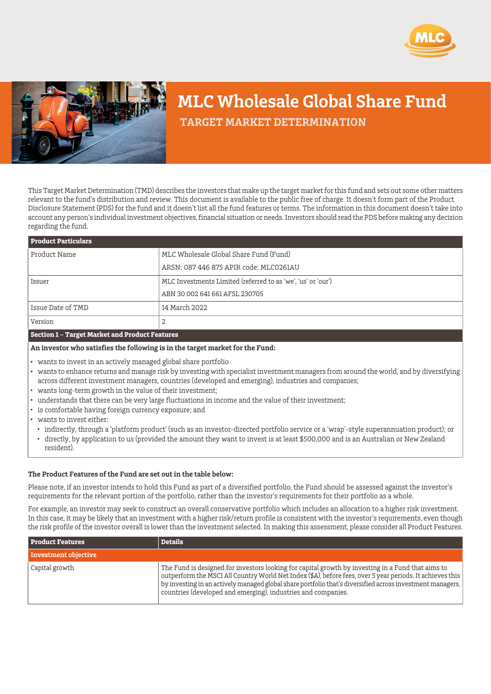



# **MLC Wholesale Global Share Fund**

 **TARGET MARKET DETERMINATION**

This Target Market Determination (TMD) describes the investors that make up the target market for this fund and sets out some other matters relevant to the fund's distribution and review. This document is available to the public free of charge. It doesn't form part of the Product Disclosure Statement (PDS) for the fund and it doesn't list all the fund features or terms. The information in this document doesn't take into account any person's individual investment objectives, financial situation or needs. Investors should read the PDS before making any decision regarding the fund.

| <b>Product Particulars</b> |                                                              |
|----------------------------|--------------------------------------------------------------|
| Product Name               | MLC Wholesale Global Share Fund (Fund)                       |
|                            | ARSN: 087 446 875 APIR code: MLC0261AU                       |
| Issuer                     | MLC Investments Limited (referred to as 'we', 'us' or 'our') |
|                            | ABN 30 002 641 661 AFSL 230705                               |
| Issue Date of TMD          | 14 March 2022                                                |
| Version                    | 2                                                            |
|                            |                                                              |

### **Section 1 – Target Market and Product Features**

## **An investor who satisfies the following is in the target market for the Fund:**

- wants to invest in an actively managed global share portfolio
- wants to enhance returns and manage risk by investing with specialist investment managers from around the world, and by diversifying across different investment managers, countries (developed and emerging), industries and companies;
- wants long-term growth in the value of their investment;
- understands that there can be very large fluctuations in income and the value of their investment;
- is comfortable having foreign currency exposure; and
- wants to invest either:
	- indirectly, through a 'platform product' (such as an investor-directed portfolio service or a 'wrap'-style superannuation product); or
	- directly, by application to us (provided the amount they want to invest is at least \$500,000 and is an Australian or New Zealand resident).

### **The Product Features of the Fund are set out in the table below:**

Please note, if an investor intends to hold this Fund as part of a diversified portfolio, the Fund should be assessed against the investor's requirements for the relevant portion of the portfolio, rather than the investor's requirements for their portfolio as a whole.

For example, an investor may seek to construct an overall conservative portfolio which includes an allocation to a higher risk investment. In this case, it may be likely that an investment with a higher risk/return profile is consistent with the investor's requirements, even though the risk profile of the investor overall is lower than the investment selected. In making this assessment, please consider all Product Features.

| <b>Product Features</b> | <b>Details</b>                                                                                                                                                                                                                                                                                                                                                                               |
|-------------------------|----------------------------------------------------------------------------------------------------------------------------------------------------------------------------------------------------------------------------------------------------------------------------------------------------------------------------------------------------------------------------------------------|
| Investment objective    |                                                                                                                                                                                                                                                                                                                                                                                              |
| Capital growth          | The Fund is designed for investors looking for capital growth by investing in a Fund that aims to<br>outperform the MSCI All Country World Net Index (\$A), before fees, over 5 year periods. It achieves this<br>by investing in an actively managed global share portfolio that's diversified across investment managers,<br>countries (developed and emerging), industries and companies. |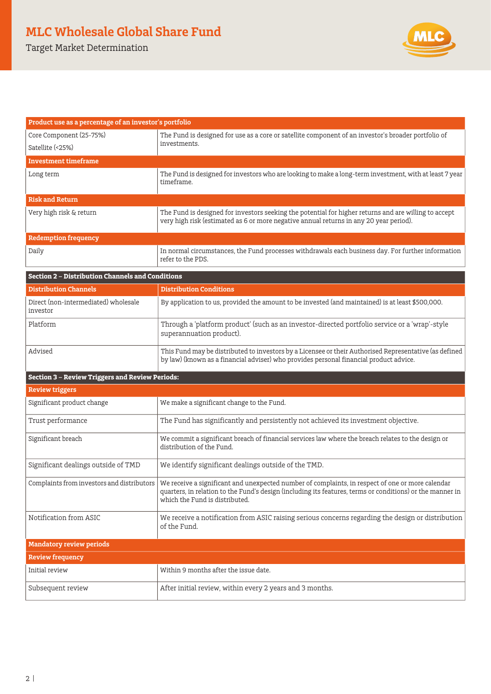# **MLC Wholesale Global Share Fund**

Target Market Determination



| Product use as a percentage of an investor's portfolio  |                                                                                                                                                                                                                                                 |  |
|---------------------------------------------------------|-------------------------------------------------------------------------------------------------------------------------------------------------------------------------------------------------------------------------------------------------|--|
| Core Component (25-75%)                                 | The Fund is designed for use as a core or satellite component of an investor's broader portfolio of                                                                                                                                             |  |
| Satellite (<25%)                                        | investments.                                                                                                                                                                                                                                    |  |
| <b>Investment timeframe</b>                             |                                                                                                                                                                                                                                                 |  |
| Long term                                               | The Fund is designed for investors who are looking to make a long-term investment, with at least 7 year<br>timeframe.                                                                                                                           |  |
| <b>Risk and Return</b>                                  |                                                                                                                                                                                                                                                 |  |
| Very high risk & return                                 | The Fund is designed for investors seeking the potential for higher returns and are willing to accept<br>very high risk (estimated as 6 or more negative annual returns in any 20 year period).                                                 |  |
| <b>Redemption frequency</b>                             |                                                                                                                                                                                                                                                 |  |
| Daily                                                   | In normal circumstances, the Fund processes withdrawals each business day. For further information<br>refer to the PDS.                                                                                                                         |  |
| <b>Section 2 - Distribution Channels and Conditions</b> |                                                                                                                                                                                                                                                 |  |
| <b>Distribution Channels</b>                            | <b>Distribution Conditions</b>                                                                                                                                                                                                                  |  |
| Direct (non-intermediated) wholesale<br>investor        | By application to us, provided the amount to be invested (and maintained) is at least \$500,000.                                                                                                                                                |  |
| Platform                                                | Through a 'platform product' (such as an investor-directed portfolio service or a 'wrap'-style<br>superannuation product).                                                                                                                      |  |
| Advised                                                 | This Fund may be distributed to investors by a Licensee or their Authorised Representative (as defined<br>by law) (known as a financial adviser) who provides personal financial product advice.                                                |  |
| <b>Section 3 - Review Triggers and Review Periods:</b>  |                                                                                                                                                                                                                                                 |  |
| <b>Review triggers</b>                                  |                                                                                                                                                                                                                                                 |  |
| Significant product change                              | We make a significant change to the Fund.                                                                                                                                                                                                       |  |
| Trust performance                                       | The Fund has significantly and persistently not achieved its investment objective.                                                                                                                                                              |  |
| Significant breach                                      | We commit a significant breach of financial services law where the breach relates to the design or<br>distribution of the Fund.                                                                                                                 |  |
| Significant dealings outside of TMD                     | We identify significant dealings outside of the TMD.                                                                                                                                                                                            |  |
| Complaints from investors and distributors              | We receive a significant and unexpected number of complaints, in respect of one or more calendar<br>quarters, in relation to the Fund's design (including its features, terms or conditions) or the manner in<br>which the Fund is distributed. |  |
| Notification from ASIC                                  | We receive a notification from ASIC raising serious concerns regarding the design or distribution<br>of the Fund.                                                                                                                               |  |
| <b>Mandatory review periods</b>                         |                                                                                                                                                                                                                                                 |  |
| <b>Review frequency</b>                                 |                                                                                                                                                                                                                                                 |  |
| Initial review                                          | Within 9 months after the issue date.                                                                                                                                                                                                           |  |

Subsequent review  $\overline{\phantom{a}}$  After initial review, within every 2 years and 3 months.